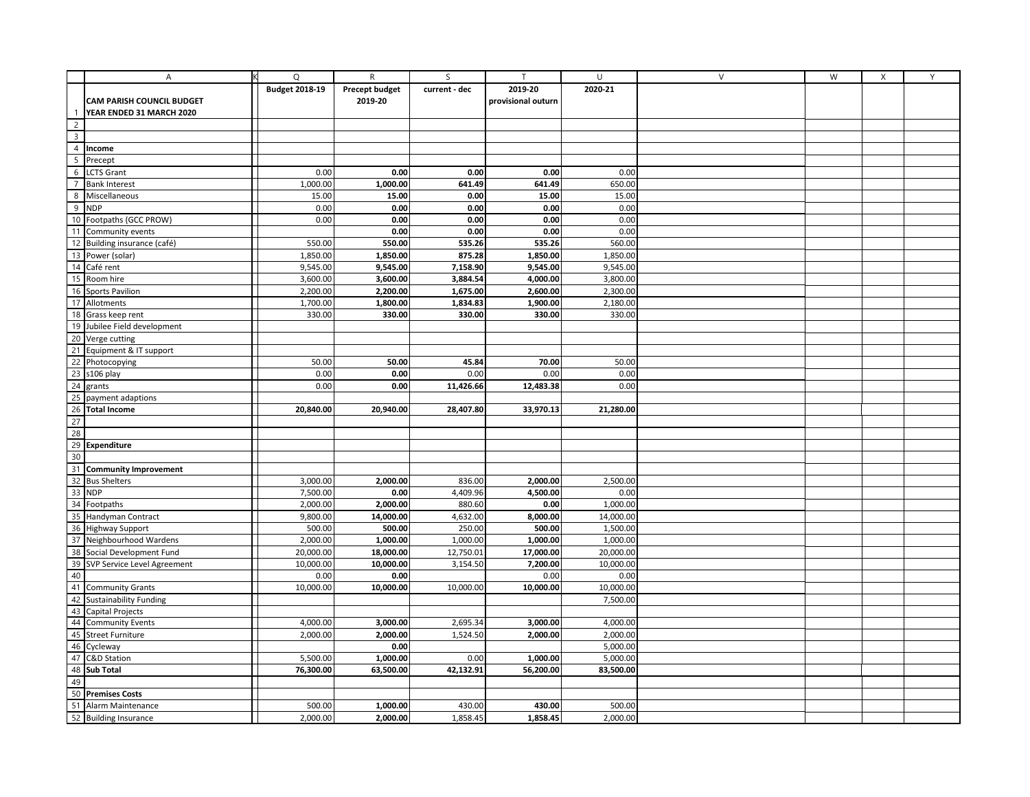|                 | Ιĸ<br>$\overline{A}$                                                                                                                                                                                                                      | Q                     | $\mathsf{R}$          | S             | $\mathsf{T}$       | U         | $\vee$ | W | $\mathsf{X}$ | Y |
|-----------------|-------------------------------------------------------------------------------------------------------------------------------------------------------------------------------------------------------------------------------------------|-----------------------|-----------------------|---------------|--------------------|-----------|--------|---|--------------|---|
|                 |                                                                                                                                                                                                                                           | <b>Budget 2018-19</b> | <b>Precept budget</b> | current - dec | 2019-20            | 2020-21   |        |   |              |   |
|                 | <b>CAM PARISH COUNCIL BUDGET</b>                                                                                                                                                                                                          |                       | 2019-20               |               | provisional outurn |           |        |   |              |   |
|                 | YEAR ENDED 31 MARCH 2020                                                                                                                                                                                                                  |                       |                       |               |                    |           |        |   |              |   |
| $\overline{2}$  |                                                                                                                                                                                                                                           |                       |                       |               |                    |           |        |   |              |   |
| $\overline{3}$  |                                                                                                                                                                                                                                           |                       |                       |               |                    |           |        |   |              |   |
|                 | 4 Income                                                                                                                                                                                                                                  |                       |                       |               |                    |           |        |   |              |   |
| $\overline{5}$  | Precept                                                                                                                                                                                                                                   |                       |                       |               |                    |           |        |   |              |   |
|                 | 6 LCTS Grant                                                                                                                                                                                                                              | 0.00                  | 0.00                  | 0.00          | 0.00               | 0.00      |        |   |              |   |
| $\overline{7}$  | <b>Bank Interest</b>                                                                                                                                                                                                                      | 1,000.00              | 1,000.00              | 641.49        | 641.49             | 650.00    |        |   |              |   |
| 8               | Miscellaneous                                                                                                                                                                                                                             | 15.00                 | 15.00                 | 0.00          | 15.00              | 15.00     |        |   |              |   |
| $\overline{9}$  | <b>NDP</b>                                                                                                                                                                                                                                | 0.00                  | 0.00                  | 0.00          | 0.00               | 0.00      |        |   |              |   |
|                 | 10 Footpaths (GCC PROW)                                                                                                                                                                                                                   | 0.00                  | 0.00                  | 0.00          | 0.00               | 0.00      |        |   |              |   |
|                 | 11 Community events                                                                                                                                                                                                                       |                       | 0.00                  | 0.00          | 0.00               | 0.00      |        |   |              |   |
|                 | 12 Building insurance (café)                                                                                                                                                                                                              | 550.00                | 550.00                | 535.26        | 535.26             | 560.00    |        |   |              |   |
|                 |                                                                                                                                                                                                                                           | 1,850.00              | 1,850.00              | 875.28        | 1,850.00           | 1,850.00  |        |   |              |   |
|                 | 13 Power (solar)<br>14 Café rent                                                                                                                                                                                                          | 9,545.00              | 9,545.00              | 7,158.90      | 9,545.00           | 9,545.00  |        |   |              |   |
|                 | 15 Room hire                                                                                                                                                                                                                              | 3,600.00              | 3,600.00              | 3,884.54      | 4,000.00           | 3,800.00  |        |   |              |   |
|                 | 16 Sports Pavilion                                                                                                                                                                                                                        | 2,200.00              | 2,200.00              | 1,675.00      | 2,600.00           | 2,300.00  |        |   |              |   |
|                 | 17 Allotments                                                                                                                                                                                                                             | 1,700.00              | 1,800.00              | 1,834.83      | 1,900.00           | 2,180.00  |        |   |              |   |
|                 | 18 Grass keep rent                                                                                                                                                                                                                        | 330.00                | 330.00                | 330.00        | 330.00             | 330.00    |        |   |              |   |
| 19              | Jubilee Field development                                                                                                                                                                                                                 |                       |                       |               |                    |           |        |   |              |   |
|                 | 20 Verge cutting                                                                                                                                                                                                                          |                       |                       |               |                    |           |        |   |              |   |
|                 | 21 Equipment & IT support                                                                                                                                                                                                                 |                       |                       |               |                    |           |        |   |              |   |
|                 | 22 Photocopying                                                                                                                                                                                                                           | 50.00                 | 50.00                 | 45.84         | 70.00              | 50.00     |        |   |              |   |
|                 | 23 s106 play                                                                                                                                                                                                                              | 0.00                  | 0.00                  | 0.00          | 0.00               | 0.00      |        |   |              |   |
|                 | grants                                                                                                                                                                                                                                    | 0.00                  | 0.00                  | 11,426.66     | 12,483.38          | 0.00      |        |   |              |   |
| $\frac{1}{24}$  | payment adaptions                                                                                                                                                                                                                         |                       |                       |               |                    |           |        |   |              |   |
| 26              | <b>Total Income</b>                                                                                                                                                                                                                       | 20,840.00             | 20,940.00             | 28,407.80     | 33,970.13          | 21,280.00 |        |   |              |   |
| $\frac{1}{27}$  |                                                                                                                                                                                                                                           |                       |                       |               |                    |           |        |   |              |   |
|                 |                                                                                                                                                                                                                                           |                       |                       |               |                    |           |        |   |              |   |
|                 |                                                                                                                                                                                                                                           |                       |                       |               |                    |           |        |   |              |   |
|                 |                                                                                                                                                                                                                                           |                       |                       |               |                    |           |        |   |              |   |
|                 |                                                                                                                                                                                                                                           |                       |                       |               |                    |           |        |   |              |   |
|                 |                                                                                                                                                                                                                                           | 3,000.00              | 2,000.00              | 836.00        | 2,000.00           | 2,500.00  |        |   |              |   |
|                 |                                                                                                                                                                                                                                           | 7,500.00              | 0.00                  | 4,409.96      | 4,500.00           | 0.00      |        |   |              |   |
|                 | $\begin{array}{r}\n 29 \\  \hline\n 30 \\  \hline\n 31\n \end{array}$ <b>Community Improvement</b><br>$\begin{array}{r}\n 32 \text{ Bus Shelters} \\  \hline\n 33 \text{ NOP} \\  \hline\n 34 \text{ Footpaths} \\  \hline\n \end{array}$ | 2,000.00              | 2,000.00              | 880.60        | 0.00               | 1,000.00  |        |   |              |   |
|                 | 35 Handyman Contract                                                                                                                                                                                                                      | 9,800.00              | 14,000.00             | 4,632.00      | 8,000.00           | 14,000.00 |        |   |              |   |
|                 | 36 Highway Support                                                                                                                                                                                                                        | 500.00                | 500.00                | 250.00        | 500.00             | 1,500.00  |        |   |              |   |
|                 | 37 Neighbourhood Wardens                                                                                                                                                                                                                  | 2,000.00              | 1,000.00              | 1,000.00      | 1,000.00           | 1,000.00  |        |   |              |   |
| $\frac{38}{39}$ | Social Development Fund                                                                                                                                                                                                                   | 20,000.00             | 18,000.00             | 12,750.01     | 17,000.00          | 20,000.00 |        |   |              |   |
|                 | SVP Service Level Agreement                                                                                                                                                                                                               | 10,000.00             | 10,000.00             | 3,154.50      | 7,200.00           | 10,000.00 |        |   |              |   |
|                 | 40<br>41 Community Grants<br>42 Sustainability Fundi                                                                                                                                                                                      | 0.00                  | 0.00                  |               | 0.00               | 0.00      |        |   |              |   |
|                 |                                                                                                                                                                                                                                           | 10,000.00             | 10,000.00             | 10,000.00     | 10,000.00          | 10,000.00 |        |   |              |   |
|                 | <b>Sustainability Funding</b>                                                                                                                                                                                                             |                       |                       |               |                    | 7,500.00  |        |   |              |   |
|                 | 43 Capital Projects<br>44 Community Events                                                                                                                                                                                                |                       |                       |               |                    |           |        |   |              |   |
|                 |                                                                                                                                                                                                                                           | 4,000.00              | 3,000.00              | 2,695.34      | 3,000.00           | 4,000.00  |        |   |              |   |
|                 | 45 Street Furniture                                                                                                                                                                                                                       | 2,000.00              | 2,000.00              | 1,524.50      | 2,000.00           | 2,000.00  |        |   |              |   |
|                 | 46 Cycleway<br>47 C&D Station<br>48 <b>Sub Total</b>                                                                                                                                                                                      |                       | 0.00                  |               |                    | 5,000.00  |        |   |              |   |
|                 |                                                                                                                                                                                                                                           | 5,500.00              | 1,000.00              | 0.00          | 1,000.00           | 5,000.00  |        |   |              |   |
|                 |                                                                                                                                                                                                                                           | 76,300.00             | 63,500.00             | 42,132.91     | 56,200.00          | 83,500.00 |        |   |              |   |
| 49              |                                                                                                                                                                                                                                           |                       |                       |               |                    |           |        |   |              |   |
| $\overline{50}$ | <b>Premises Costs</b>                                                                                                                                                                                                                     |                       |                       |               |                    |           |        |   |              |   |
|                 | 51 Alarm Maintenance                                                                                                                                                                                                                      | 500.00                | 1,000.00              | 430.00        | 430.00             | 500.00    |        |   |              |   |
|                 | 52 Building Insurance                                                                                                                                                                                                                     | 2,000.00              | 2,000.00              | 1,858.45      | 1,858.45           | 2,000.00  |        |   |              |   |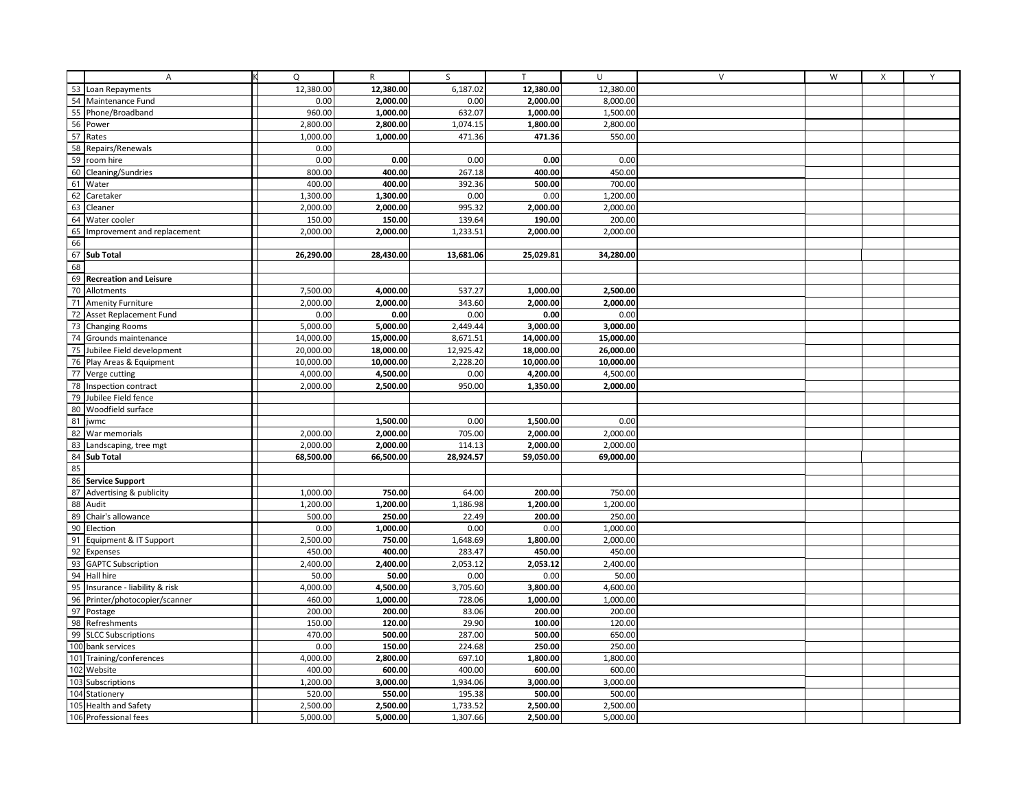|          | А                                          | Q         | $\mathsf{R}$ | S         | $\mathsf{T}$ | U         | $\vee$ | W | $\mathsf{X}$ | Y |
|----------|--------------------------------------------|-----------|--------------|-----------|--------------|-----------|--------|---|--------------|---|
|          | 53 Loan Repayments                         | 12,380.00 | 12,380.00    | 6,187.02  | 12,380.00    | 12,380.00 |        |   |              |   |
| 54       | Maintenance Fund                           | 0.00      | 2,000.00     | 0.00      | 2,000.00     | 8,000.00  |        |   |              |   |
| 55       | Phone/Broadband                            | 960.00    | 1,000.00     | 632.07    | 1,000.00     | 1,500.00  |        |   |              |   |
| 56       | Power                                      | 2,800.00  | 2,800.00     | 1,074.15  | 1,800.00     | 2,800.00  |        |   |              |   |
| 57       | Rates                                      | 1,000.00  | 1,000.00     | 471.36    | 471.36       | 550.00    |        |   |              |   |
| 58       | Repairs/Renewals                           | 0.00      |              |           |              |           |        |   |              |   |
| 59       | room hire                                  | 0.00      | 0.00         | 0.00      | 0.00         | 0.00      |        |   |              |   |
| 60       | Cleaning/Sundries                          | 800.00    | 400.00       | 267.18    | 400.00       | 450.00    |        |   |              |   |
| 61       | Water                                      | 400.00    | 400.00       | 392.36    | 500.00       | 700.00    |        |   |              |   |
| 62       | Caretaker                                  | 1,300.00  | 1,300.00     | 0.00      | 0.00         | 1,200.00  |        |   |              |   |
| 63       | Cleaner                                    | 2,000.00  | 2,000.00     | 995.32    | 2,000.00     | 2,000.00  |        |   |              |   |
| 64       | Water cooler                               | 150.00    | 150.00       | 139.64    | 190.00       | 200.00    |        |   |              |   |
| 65       | Improvement and replacement                | 2,000.00  | 2,000.00     | 1,233.51  | 2,000.00     | 2,000.00  |        |   |              |   |
| 66       |                                            |           |              |           |              |           |        |   |              |   |
| 67       | <b>Sub Total</b>                           | 26,290.00 | 28,430.00    | 13,681.06 | 25,029.81    | 34,280.00 |        |   |              |   |
| 68       |                                            |           |              |           |              |           |        |   |              |   |
| 69       | <b>Recreation and Leisure</b>              |           |              |           |              |           |        |   |              |   |
| 70       | Allotments                                 | 7,500.00  | 4,000.00     | 537.27    | 1,000.00     | 2,500.00  |        |   |              |   |
| 71       | <b>Amenity Furniture</b>                   | 2,000.00  | 2,000.00     | 343.60    | 2,000.00     | 2,000.00  |        |   |              |   |
| 72       | Asset Replacement Fund                     | 0.00      | 0.00         | 0.00      | 0.00         | 0.00      |        |   |              |   |
| 73       | <b>Changing Rooms</b>                      | 5,000.00  | 5,000.00     | 2,449.44  | 3,000.00     | 3,000.00  |        |   |              |   |
| 74       | Grounds maintenance                        | 14,000.00 | 15,000.00    | 8,671.51  | 14,000.00    | 15,000.00 |        |   |              |   |
| 75       | Jubilee Field development                  | 20,000.00 | 18,000.00    | 12,925.42 | 18,000.00    | 26,000.00 |        |   |              |   |
| 76       | Play Areas & Equipment                     | 10,000.00 | 10,000.00    | 2,228.20  | 10,000.00    | 10,000.00 |        |   |              |   |
|          | 77 Verge cutting                           | 4,000.00  | 4,500.00     | 0.00      | 4,200.00     | 4,500.00  |        |   |              |   |
| 78<br>79 | Inspection contract<br>Jubilee Field fence | 2,000.00  | 2,500.00     | 950.00    | 1,350.00     | 2,000.00  |        |   |              |   |
| 80       | Woodfield surface                          |           |              |           |              |           |        |   |              |   |
| 81       | jwmc                                       |           | 1,500.00     | 0.00      | 1,500.00     | 0.00      |        |   |              |   |
| 82       | War memorials                              | 2,000.00  | 2,000.00     | 705.00    | 2,000.00     | 2,000.00  |        |   |              |   |
| 83       | Landscaping, tree mgt                      | 2,000.00  | 2,000.00     | 114.13    | 2,000.00     | 2.000.00  |        |   |              |   |
| 84       | <b>Sub Total</b>                           | 68,500.00 | 66,500.00    | 28,924.57 | 59,050.00    | 69,000.00 |        |   |              |   |
| 85       |                                            |           |              |           |              |           |        |   |              |   |
| 86       | <b>Service Support</b>                     |           |              |           |              |           |        |   |              |   |
| 87       | Advertising & publicity                    | 1,000.00  | 750.00       | 64.00     | 200.00       | 750.00    |        |   |              |   |
| 88       | Audit                                      | 1,200.00  | 1,200.00     | 1,186.98  | 1,200.00     | 1,200.00  |        |   |              |   |
| 89       | Chair's allowance                          | 500.00    | 250.00       | 22.49     | 200.00       | 250.00    |        |   |              |   |
| 90       | Election                                   | 0.00      | 1,000.00     | 0.00      | 0.00         | 1,000.00  |        |   |              |   |
| 91       | Equipment & IT Support                     | 2,500.00  | 750.00       | 1,648.69  | 1,800.00     | 2,000.00  |        |   |              |   |
| 92       | Expenses                                   | 450.00    | 400.00       | 283.47    | 450.00       | 450.00    |        |   |              |   |
| 93       | <b>GAPTC Subscription</b>                  | 2,400.00  | 2,400.00     | 2,053.12  | 2,053.12     | 2,400.00  |        |   |              |   |
| 94       | Hall hire                                  | 50.00     | 50.00        | 0.00      | 0.00         | 50.00     |        |   |              |   |
| 95       | Insurance - liability & risk               | 4,000.00  | 4,500.00     | 3,705.60  | 3,800.00     | 4,600.00  |        |   |              |   |
| 96       | Printer/photocopier/scanner                | 460.00    | 1,000.00     | 728.06    | 1,000.00     | 1,000.00  |        |   |              |   |
| 97       | Postage                                    | 200.00    | 200.00       | 83.06     | 200.00       | 200.00    |        |   |              |   |
| 98       | Refreshments                               | 150.00    | 120.00       | 29.90     | 100.00       | 120.00    |        |   |              |   |
| 99       | <b>SLCC Subscriptions</b>                  | 470.00    | 500.00       | 287.00    | 500.00       | 650.00    |        |   |              |   |
| 100      | bank services                              | 0.00      | 150.00       | 224.68    | 250.00       | 250.00    |        |   |              |   |
|          | 101 Training/conferences                   | 4,000.00  | 2,800.00     | 697.10    | 1,800.00     | 1,800.00  |        |   |              |   |
|          | 102 Website                                | 400.00    | 600.00       | 400.00    | 600.00       | 600.00    |        |   |              |   |
| 103      | Subscriptions                              | 1,200.00  | 3,000.00     | 1,934.06  | 3,000.00     | 3,000.00  |        |   |              |   |
| 104      | Stationery                                 | 520.00    | 550.00       | 195.38    | 500.00       | 500.00    |        |   |              |   |
|          | 105 Health and Safety                      | 2,500.00  | 2,500.00     | 1,733.52  | 2,500.00     | 2,500.00  |        |   |              |   |
|          | 106 Professional fees                      | 5,000.00  | 5,000.00     | 1,307.66  | 2,500.00     | 5,000.00  |        |   |              |   |